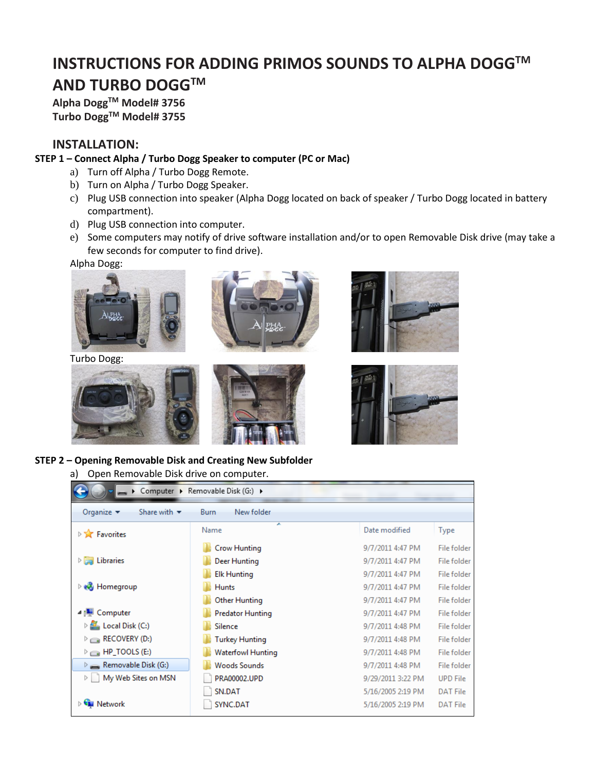# **INSTRUCTIONS FOR ADDING PRIMOS SOUNDS TO ALPHA DOGGTM AND TURBO DOGGTM**

**Alpha DoggTM Model# 3756 Turbo DoggTM Model# 3755**

#### **INSTALLATION:**

#### **STEP 1 – Connect Alpha / Turbo Dogg Speaker to computer (PC or Mac)**

- a) Turn off Alpha / Turbo Dogg Remote.
	- b) Turn on Alpha / Turbo Dogg Speaker.
	- c) Plug USB connection into speaker (Alpha Dogg located on back of speaker / Turbo Dogg located in battery compartment).
	- d) Plug USB connection into computer.
	- e) Some computers may notify of drive software installation and/or to open Removable Disk drive (may take a few seconds for computer to find drive).

Alpha Dogg:



Turbo Dogg:









**STEP 2 – Opening Removable Disk and Creating New Subfolder**

a) Open Removable Disk drive on computer.

|                                                                    | Computer ▶ Removable Disk (G:) ▶ |                   |                    |
|--------------------------------------------------------------------|----------------------------------|-------------------|--------------------|
| Organize $\blacktriangledown$<br>Share with $\blacktriangledown$   | New folder<br>Burn               |                   |                    |
| <b>Example</b> Favorites                                           | ×<br>Name                        | Date modified     | Type               |
|                                                                    | <b>Crow Hunting</b>              | 9/7/2011 4:47 PM  | <b>File folder</b> |
| $\triangleright$ $\blacksquare$ Libraries                          | Deer Hunting                     | 9/7/2011 4:47 PM  | <b>File folder</b> |
|                                                                    | <b>Elk Hunting</b>               | 9/7/2011 4:47 PM  | File folder        |
| $\triangleright$ $\bullet$ Homegroup                               | <b>Hunts</b>                     | 9/7/2011 4:47 PM  | <b>File folder</b> |
|                                                                    | Other Hunting                    | 9/7/2011 4:47 PM  | <b>File folder</b> |
| 4 <sup>1</sup> Computer                                            | <b>Predator Hunting</b>          | 9/7/2011 4:47 PM  | <b>File folder</b> |
| $\triangleright$ $\frac{d\mathbf{f}}{d\mathbf{f}}$ Local Disk (C:) | Silence                          | 9/7/2011 4:48 PM  | File folder        |
| $\triangleright$ $\equiv$ RECOVERY (D.)                            | <b>Turkey Hunting</b>            | 9/7/2011 4:48 PM  | File folder        |
| $\triangleright$ $\equiv$ HP_TOOLS (E:)                            | <b>Waterfowl Hunting</b>         | 9/7/2011 4:48 PM  | <b>File folder</b> |
| $\triangleright$ Removable Disk (G:)                               | <b>Woods Sounds</b>              | 9/7/2011 4:48 PM  | File folder        |
| My Web Sites on MSN<br>Þ                                           | PRA00002.UPD                     | 9/29/2011 3:22 PM | <b>UPD File</b>    |
|                                                                    | SN.DAT                           | 5/16/2005 2:19 PM | <b>DAT File</b>    |
| <b>EN</b> Network                                                  | SYNC.DAT                         | 5/16/2005 2:19 PM | <b>DAT File</b>    |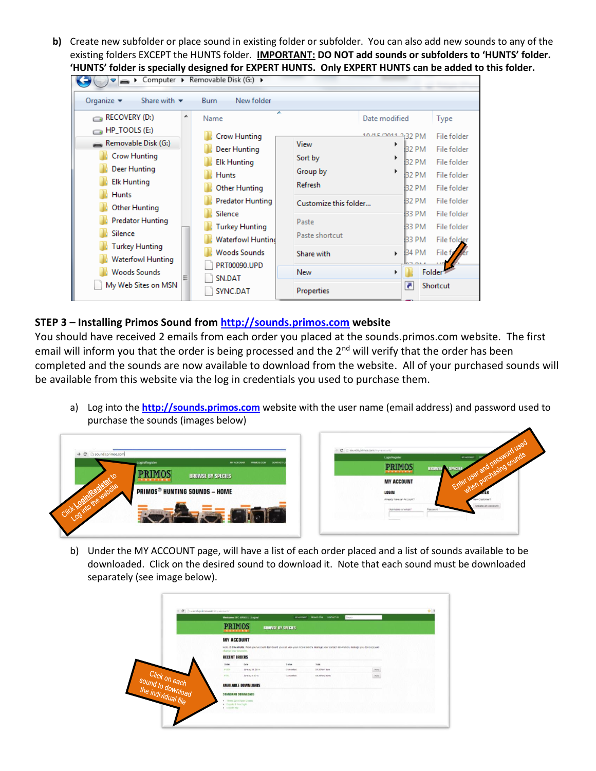**b)** Create new subfolder or place sound in existing folder or subfolder. You can also add new sounds to any of the existing folders EXCEPT the HUNTS folder. **IMPORTANT: DO NOT add sounds or subfolders to 'HUNTS' folder. 'HUNTS' folder is specially designed for EXPERT HUNTS. Only EXPERT HUNTS can be added to this folder.**

| $\blacktriangleright$ Computer $\blacktriangleright$ Kemovable Disk (G:) $\blacktriangleright$                                                                                                                                                   |                                                                                                                                                                                                                           |                                                                                                                                                                                                                                                                                                            |                                                                                                                                                        |
|--------------------------------------------------------------------------------------------------------------------------------------------------------------------------------------------------------------------------------------------------|---------------------------------------------------------------------------------------------------------------------------------------------------------------------------------------------------------------------------|------------------------------------------------------------------------------------------------------------------------------------------------------------------------------------------------------------------------------------------------------------------------------------------------------------|--------------------------------------------------------------------------------------------------------------------------------------------------------|
| Organize $\blacktriangledown$<br>Share with $\blacktriangledown$                                                                                                                                                                                 | <b>Burn</b><br>New folder                                                                                                                                                                                                 |                                                                                                                                                                                                                                                                                                            |                                                                                                                                                        |
| RECOVERY (D:)<br>┻<br>$\sim$<br>HP_TOOLS (E:)<br>C al<br>Removable Disk (G:)<br><b>Crow Hunting</b><br><b>Deer Hunting</b><br><b>Elk Hunting</b><br><b>Hunts</b><br>Other Hunting<br><b>Predator Hunting</b><br>Silence<br><b>Turkey Hunting</b> | ┻<br>Name<br><b>Crow Hunting</b><br>Deer Hunting<br><b>Elk Hunting</b><br><b>Hunts</b><br><b>Other Hunting</b><br>Predator Hunting<br>Silence<br><b>Turkey Hunting</b><br><b>Waterfowl Huntind</b><br><b>Woods Sounds</b> | Date modified<br>10/15/2011 2:32 PM<br>View<br>Þ<br>B <sub>2</sub> PM<br>Sort by<br>▶<br><b>B2 PM</b><br>Group by<br>Þ<br><b>32 PM</b><br><b>Refresh</b><br>32 PM<br><b>B2 PM</b><br>Customize this folder<br><b>B3 PM</b><br>Paste<br>33 PM<br>Paste shortcut<br>33 PM<br><b>B4 PM</b><br>Share with<br>k | Type<br>File folder<br>File folder<br>File folder<br>File folder<br>File folder<br>File folder<br>File folder<br>File folder<br>File folder<br>File fo |
| <b>Waterfowl Hunting</b><br><b>Woods Sounds</b><br>Ξ<br>My Web Sites on MSN                                                                                                                                                                      | PRT00090.UPD<br>SN.DAT<br>SYNC.DAT                                                                                                                                                                                        | <b>New</b><br>z<br>Properties                                                                                                                                                                                                                                                                              | Folder <sup>1</sup><br>Shortcut                                                                                                                        |

## **STEP 3 – Installing Primos Sound fro[m http://sounds.primos.com](http://sounds.primos.com/) website**

You should have received 2 emails from each order you placed at the sounds.primos.com website. The first email will inform you that the order is being processed and the 2<sup>nd</sup> will verify that the order has been completed and the sounds are now available to download from the website. All of your purchased sounds will be available from this website via the log in credentials you used to purchase them.

a) Log into the **[http://sounds.primos.com](http://sounds.primos.com/)** website with the user name (email address) and password used to purchase the sounds (images below)



b) Under the MY ACCOUNT page, will have a list of each order placed and a list of sounds available to be downloaded. Click on the desired sound to download it. Note that each sound must be downloaded separately (see image below).

|                                                           | Welcome: D C MANULL   Logoul    | <b>MY ACCOUNT</b>                                                                                                                      | PREMISSION CONTACT US<br>Deputy. |                  |  |
|-----------------------------------------------------------|---------------------------------|----------------------------------------------------------------------------------------------------------------------------------------|----------------------------------|------------------|--|
|                                                           | <b>PRIMOS</b>                   | <b>BROWSE BY SPECIES</b>                                                                                                               |                                  |                  |  |
|                                                           | <b>MY ACCOUNT</b>               |                                                                                                                                        |                                  |                  |  |
|                                                           | change your passwort.           | Holb. D C MANUEL Prom your account dashboard you can view your rocont crocrs, manage your contact information, manage you dovec(s) and |                                  |                  |  |
|                                                           | <b>RECENT ORDERS</b>            |                                                                                                                                        |                                  |                  |  |
|                                                           | <b>Date</b><br>Chillen          | Shelton                                                                                                                                | Total                            |                  |  |
|                                                           | <b>TUGA</b><br>January 31, 2014 | Completed                                                                                                                              | \$1,00 for 1 hors                | $\sqrt{\hbar m}$ |  |
|                                                           | 7727<br>January 3, 2014         | Completed                                                                                                                              | \$3.06 for 2 bonus               | $_{\rm Verm}$    |  |
| Click on each<br>sound to download<br>the individual file | <b>AVAILABLE DOWNLOADS</b>      |                                                                                                                                        |                                  |                  |  |
|                                                           | <b>STANDARD DOWNLOADS</b>       |                                                                                                                                        |                                  |                  |  |
|                                                           | · Itewe Duck Roar Grunk         |                                                                                                                                        |                                  |                  |  |
|                                                           | . Unpole & Fox Fight            |                                                                                                                                        |                                  |                  |  |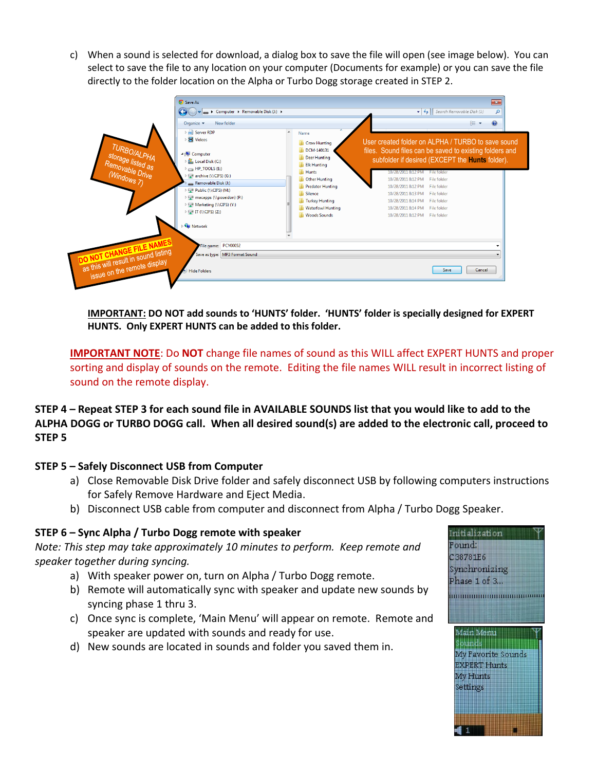c) When a sound is selected for download, a dialog box to save the file will open (see image below). You can select to save the file to any location on your computer (Documents for example) or you can save the file directly to the folder location on the Alpha or Turbo Dogg storage created in STEP 2.



**IMPORTANT: DO NOT add sounds to 'HUNTS' folder. 'HUNTS' folder is specially designed for EXPERT HUNTS. Only EXPERT HUNTS can be added to this folder.**

**IMPORTANT NOTE**: Do **NOT** change file names of sound as this WILL affect EXPERT HUNTS and proper sorting and display of sounds on the remote. Editing the file names WILL result in incorrect listing of sound on the remote display.

**STEP 4 – Repeat STEP 3 for each sound file in AVAILABLE SOUNDS list that you would like to add to the ALPHA DOGG or TURBO DOGG call. When all desired sound(s) are added to the electronic call, proceed to STEP 5**

## **STEP 5 – Safely Disconnect USB from Computer**

- a) Close Removable Disk Drive folder and safely disconnect USB by following computers instructions for Safely Remove Hardware and Eject Media.
- b) Disconnect USB cable from computer and disconnect from Alpha / Turbo Dogg Speaker.

## **STEP 6 – Sync Alpha / Turbo Dogg remote with speaker**

*Note: This step may take approximately 10 minutes to perform. Keep remote and speaker together during syncing.*

- a) With speaker power on, turn on Alpha / Turbo Dogg remote.
- b) Remote will automatically sync with speaker and update new sounds by syncing phase 1 thru 3.
- c) Once sync is complete, 'Main Menu' will appear on remote. Remote and speaker are updated with sounds and ready for use.
- d) New sounds are located in sounds and folder you saved them in.